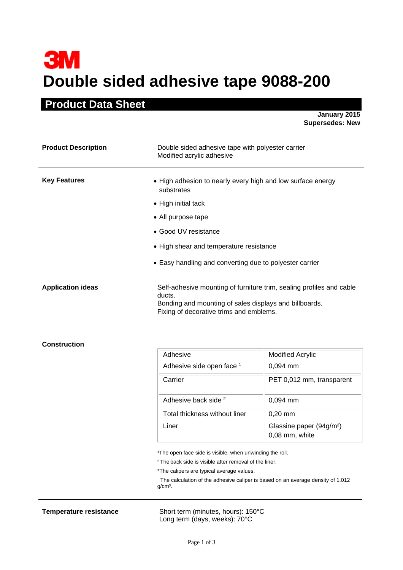## **3M Double sided adhesive tape 9088-200**

## **Product Data Sheet**

**January 2015 Supersedes: New** 

| <b>Product Description</b> | Double sided adhesive tape with polyester carrier<br>Modified acrylic adhesive                                                                                                      |
|----------------------------|-------------------------------------------------------------------------------------------------------------------------------------------------------------------------------------|
| <b>Key Features</b>        | • High adhesion to nearly every high and low surface energy<br>substrates                                                                                                           |
|                            | • High initial tack                                                                                                                                                                 |
|                            | • All purpose tape                                                                                                                                                                  |
|                            | • Good UV resistance                                                                                                                                                                |
|                            | • High shear and temperature resistance                                                                                                                                             |
|                            | • Easy handling and converting due to polyester carrier                                                                                                                             |
| <b>Application ideas</b>   | Self-adhesive mounting of furniture trim, sealing profiles and cable<br>ducts.<br>Bonding and mounting of sales displays and billboards.<br>Fixing of decorative trims and emblems. |

## **Construction**

| Adhesive                        | <b>Modified Acrylic</b>                                |
|---------------------------------|--------------------------------------------------------|
| Adhesive side open face 1       | $0,094$ mm                                             |
| Carrier                         | PET 0,012 mm, transparent                              |
| Adhesive back side <sup>2</sup> | $0,094$ mm                                             |
| Total thickness without liner   | $0,20$ mm                                              |
| Liner                           | Glassine paper (94g/m <sup>2</sup> )<br>0,08 mm, white |

<sup>1</sup>The open face side is visible, when unwinding the roll.

<sup>2</sup> The back side is visible after removal of the liner.

\*The calipers are typical average values.

 The calculation of the adhesive caliper is based on an average density of 1.012 g/cm<sup>3</sup>.

**Temperature resistance** Short term (minutes, hours): 150°C Long term (days, weeks): 70°C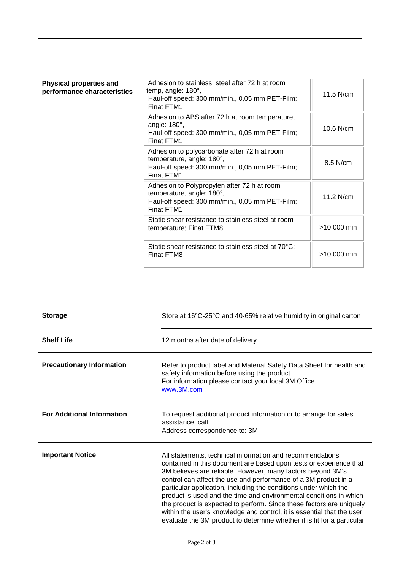| <b>Physical properties and</b><br>performance characteristics | Adhesion to stainless, steel after 72 h at room<br>temp, angle: 180°,<br>Haul-off speed: 300 mm/min., 0,05 mm PET-Film;<br>Finat FTM1     | 11.5 N/cm     |
|---------------------------------------------------------------|-------------------------------------------------------------------------------------------------------------------------------------------|---------------|
|                                                               | Adhesion to ABS after 72 h at room temperature,<br>angle: $180^\circ$ ,<br>Haul-off speed: 300 mm/min., 0,05 mm PET-Film;<br>Finat FTM1   | 10.6 N/cm     |
|                                                               | Adhesion to polycarbonate after 72 h at room<br>temperature, angle: 180°,<br>Haul-off speed: 300 mm/min., 0,05 mm PET-Film;<br>Finat FTM1 | 8.5 N/cm      |
|                                                               | Adhesion to Polypropylen after 72 h at room<br>temperature, angle: 180°,<br>Haul-off speed: 300 mm/min., 0,05 mm PET-Film;<br>Finat FTM1  | $11.2$ N/cm   |
|                                                               | Static shear resistance to stainless steel at room<br>temperature; Finat FTM8                                                             | >10,000 min   |
|                                                               | Static shear resistance to stainless steel at 70°C;<br>Finat FTM8                                                                         | $>10,000$ min |

| <b>Storage</b>                    | Store at 16°C-25°C and 40-65% relative humidity in original carton                                                                                                                                                                                                                                                                                                                                                                                                                                                                                                                                                                       |
|-----------------------------------|------------------------------------------------------------------------------------------------------------------------------------------------------------------------------------------------------------------------------------------------------------------------------------------------------------------------------------------------------------------------------------------------------------------------------------------------------------------------------------------------------------------------------------------------------------------------------------------------------------------------------------------|
| <b>Shelf Life</b>                 | 12 months after date of delivery                                                                                                                                                                                                                                                                                                                                                                                                                                                                                                                                                                                                         |
| <b>Precautionary Information</b>  | Refer to product label and Material Safety Data Sheet for health and<br>safety information before using the product.<br>For information please contact your local 3M Office.<br>www.3M.com                                                                                                                                                                                                                                                                                                                                                                                                                                               |
| <b>For Additional Information</b> | To request additional product information or to arrange for sales<br>assistance, call<br>Address correspondence to: 3M                                                                                                                                                                                                                                                                                                                                                                                                                                                                                                                   |
| <b>Important Notice</b>           | All statements, technical information and recommendations<br>contained in this document are based upon tests or experience that<br>3M believes are reliable. However, many factors beyond 3M's<br>control can affect the use and performance of a 3M product in a<br>particular application, including the conditions under which the<br>product is used and the time and environmental conditions in which<br>the product is expected to perform. Since these factors are uniquely<br>within the user's knowledge and control, it is essential that the user<br>evaluate the 3M product to determine whether it is fit for a particular |